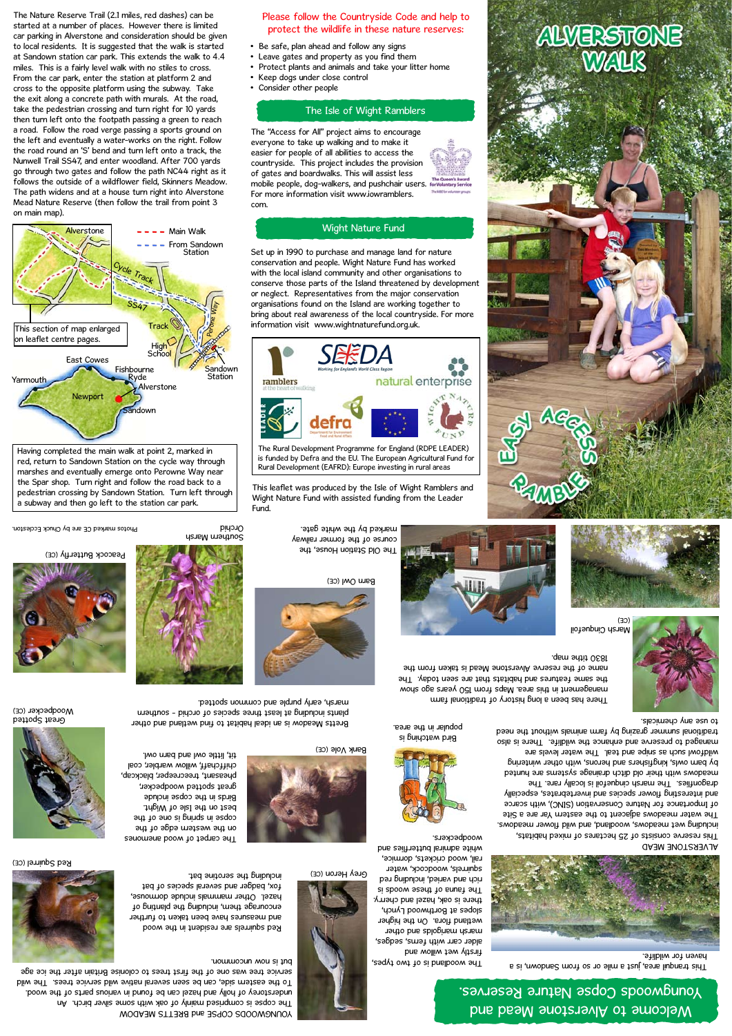This leaflet was produced by the Isle of Wight Ramblers and Wight Nature Fund with assisted funding from the Leader Fund.



- Be safe, plan ahead and follow any signs
- Leave gates and property as you find them
- Protect plants and animals and take your litter home
- Keep dogs under close control
- Consider other people

The "Access for All" project aims to encourage everyone to take up walking and to make it easier for people of all abilities to access the countryside. This project includes the provision of gates and boardwalks. This will assist less mobile people, dog-walkers, and pushchair users. For more information visit www.iowramblers. com.

Set up in 1990 to purchase and manage land for nature conservation and people. Wight Nature Fund has worked with the local island community and other organisations to conserve those parts of the Island threatened by development or neglect. Representatives from the major conservation organisations found on the Island are working together to bring about real awareness of the local countryside. For more information visit www.wightnaturefund.org.uk.



### Wight Nature Fund

### The Isle of Wight Ramblers



rail, wood crickets, dormice, white admiral butterflies and

The Nature Reserve Trail (2.1 miles, red dashes) can be started at a number of places. However there is limited car parking in Alverstone and consideration should be given to local residents. It is suggested that the walk is started at Sandown station car park. This extends the walk to 4.4 miles. This is a fairly level walk with no stiles to cross. From the car park, enter the station at platform 2 and cross to the opposite platform using the subway. Take the exit along a concrete path with murals. At the road, take the pedestrian crossing and turn right for 10 yards then turn left onto the footpath passing a green to reach a road. Follow the road verge passing a sports ground on the left and eventually a water-works on the right. Follow the road round an 'S' bend and turn left onto a track, the Nunwell Trail SS47, and enter woodland. After 700 yards go through two gates and follow the path NC44 right as it follows the outside of a wildflower field, Skinners Meadow. The path widens and at a house turn right into Alverstone Mead Nature Reserve (then follow the trail from point 3 on main map).



The Rural Development Programme for England (RDPE LEADER) is funded by Defra and the EU. The European Agricultural Fund for Rural Development (EAFRD): Europe investing in rural areas

Bretts Meadow is an ideal habitat to find wetland and other plants including at least three species of orchid - southern including

Having completed the main walk at point 2, marked in red, return to Sandown Station on the cycle way through marshes and eventually emerge onto Perowne Way near the Spar shop. Turn right and follow the road back to a pedestrian crossing by Sandown Station. Turn left through a subway and then go left to the station car park.

The woodland is of two types,



firstly wet willow and alder carr with ferns, sedges, marigolds and other wetland flora. On the higher slopes at Routhwood Lynch, there is oak, hazel and cherry. The fauna of these woods is rich and varied, including red squirrels, woodcock, water



marsh, early purple and common spotted.

on the western edge of the copse in spring is one of the best on the Isle of Wight. Birds in the copse include great spotted woodpecker,

pheasant, treecreeper, blackcap, chiffchaff, willow warbler, coal tit, little owl and barn owl.

> This tranquil area, just a mile or so from Sandown, is a haven for wildlife.



#### ALVERSTONE MEAD

This reserve consists of 25 hectares of mixed habitats, including wet meadows, woodland, and wild flower meadows. The water meadows adjacent to the eastern Yar are a Site of Importance for Nature Conservation (SINC), with scarce and interesting flower species and invertebrates, especially dragonflies. The marsh cinquefoil is locally rare. The meadows with their old drich drainage systems are hunted by barn owls, kingfishers and herons, with other wintering wildfowl such as snipe and teal. The water levels are managed to preserve and enhance the wildlife. There is also traditional summer grazing by farm animals without the need



### to use any chemicals.

There has been a long history of traditional farm management in this area. Maps from 150 years ago show the same features and habitats that are seen today. The name of the reserve Alverstone Mead is taken from the

1830 tithe map.



## Welcome to Alverstone Mead and Youngwoods Copse Nature Reserves.

The Old Station House, the course of the former railway marked by the white gate.

Barn Owl (CE)





Peacock Butterfly (CE)



**ALVERSTONE** 

Orchid

Southern Marsh



Great Spotted (CE) Woodpecker

Red Squirrel (CE)





Bank Vole (CE)

YOUNGWOODS COPSE and BRETTS MEADOW The copse is comprised mainly of oak with some silver birch. An understorey of holly and hazel can be found in various parts of the wood. To the eastern side, can be seen several native wild service trees. The wild service tree was one of the first trees to colonise Britain after the ice age



Photos marked CE are by Chuck Eccleston.

Bird watching is popular in the area.



Red squirrels are resident in the wood and measures have been taken to further encourage them, including the planting of hazel. Other mammals include dormouse, fox, badger and several species of bat including the serotine bat.



# Grey Heron (CE)